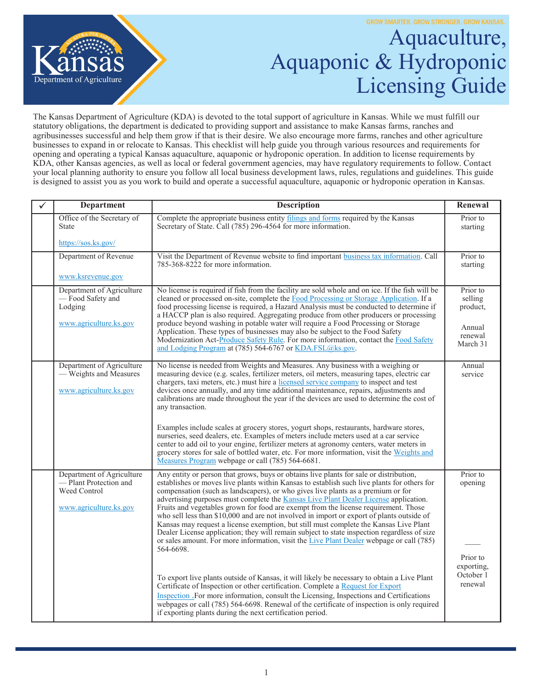

## Aquaculture, Aquaponic & Hydroponic Licensing Guide

The Kansas Department of Agriculture (KDA) is devoted to the total support of agriculture in Kansas. While we must fulfill our statutory obligations, the department is dedicated to providing support and assistance to make Kansas farms, ranches and agribusinesses successful and help them grow if that is their desire. We also encourage more farms, ranches and other agriculture businesses to expand in or relocate to Kansas. This checklist will help guide you through various resources and requirements for opening and operating a typical Kansas aquaculture, aquaponic or hydroponic operation. In addition to license requirements by KDA, other Kansas agencies, as well as local or federal government agencies, may have regulatory requirements to follow. Contact your local planning authority to ensure you follow all local business development laws, rules, regulations and guidelines. This guide is designed to assist you as you work to build and operate a successful aquaculture, aquaponic or hydroponic operation in Kansas.

| ✓ | <b>Department</b>                                                                            | <b>Description</b>                                                                                                                                                                                                                                                                                                                                                                                                                                                                                                                                                                                                                                                                                                                                                                                                                                     | Renewal                                                          |
|---|----------------------------------------------------------------------------------------------|--------------------------------------------------------------------------------------------------------------------------------------------------------------------------------------------------------------------------------------------------------------------------------------------------------------------------------------------------------------------------------------------------------------------------------------------------------------------------------------------------------------------------------------------------------------------------------------------------------------------------------------------------------------------------------------------------------------------------------------------------------------------------------------------------------------------------------------------------------|------------------------------------------------------------------|
|   | Office of the Secretary of<br><b>State</b>                                                   | Complete the appropriate business entity filings and forms required by the Kansas<br>Secretary of State. Call (785) 296-4564 for more information.                                                                                                                                                                                                                                                                                                                                                                                                                                                                                                                                                                                                                                                                                                     | Prior to<br>starting                                             |
|   | https://sos.ks.gov/                                                                          |                                                                                                                                                                                                                                                                                                                                                                                                                                                                                                                                                                                                                                                                                                                                                                                                                                                        |                                                                  |
|   | Department of Revenue                                                                        | Visit the Department of Revenue website to find important business tax information. Call<br>785-368-8222 for more information.                                                                                                                                                                                                                                                                                                                                                                                                                                                                                                                                                                                                                                                                                                                         | Prior to<br>starting                                             |
|   | www.ksrevenue.gov                                                                            |                                                                                                                                                                                                                                                                                                                                                                                                                                                                                                                                                                                                                                                                                                                                                                                                                                                        |                                                                  |
|   | Department of Agriculture<br>- Food Safety and<br>Lodging<br>www.agriculture.ks.gov          | No license is required if fish from the facility are sold whole and on ice. If the fish will be<br>cleaned or processed on-site, complete the Food Processing or Storage Application. If a<br>food processing license is required, a Hazard Analysis must be conducted to determine if<br>a HACCP plan is also required. Aggregating produce from other producers or processing<br>produce beyond washing in potable water will require a Food Processing or Storage<br>Application. These types of businesses may also be subject to the Food Safety<br>Modernization Act-Produce Safety Rule. For more information, contact the Food Safety<br>and Lodging Program at (785) 564-6767 or KDA.FSL@ks.gov.                                                                                                                                              | Prior to<br>selling<br>product,<br>Annual<br>renewal<br>March 31 |
|   | Department of Agriculture<br>- Weights and Measures<br>www.agriculture.ks.gov                | No license is needed from Weights and Measures. Any business with a weighing or<br>measuring device (e.g. scales, fertilizer meters, oil meters, measuring tapes, electric car<br>chargers, taxi meters, etc.) must hire a licensed service company to inspect and test<br>devices once annually, and any time additional maintenance, repairs, adjustments and<br>calibrations are made throughout the year if the devices are used to determine the cost of<br>any transaction.<br>Examples include scales at grocery stores, yogurt shops, restaurants, hardware stores,                                                                                                                                                                                                                                                                            | Annual<br>service                                                |
|   |                                                                                              | nurseries, seed dealers, etc. Examples of meters include meters used at a car service<br>center to add oil to your engine, fertilizer meters at agronomy centers, water meters in<br>grocery stores for sale of bottled water, etc. For more information, visit the Weights and<br>Measures Program webpage or call (785) 564-6681.                                                                                                                                                                                                                                                                                                                                                                                                                                                                                                                    |                                                                  |
|   | Department of Agriculture<br>-Plant Protection and<br>Weed Control<br>www.agriculture.ks.gov | Any entity or person that grows, buys or obtains live plants for sale or distribution,<br>establishes or moves live plants within Kansas to establish such live plants for others for<br>compensation (such as landscapers), or who gives live plants as a premium or for<br>advertising purposes must complete the Kansas Live Plant Dealer License application.<br>Fruits and vegetables grown for food are exempt from the license requirement. Those<br>who sell less than \$10,000 and are not involved in import or export of plants outside of<br>Kansas may request a license exemption, but still must complete the Kansas Live Plant<br>Dealer License application; they will remain subject to state inspection regardless of size<br>or sales amount. For more information, visit the Live Plant Dealer webpage or call (785)<br>564-6698. | Prior to<br>opening                                              |
|   |                                                                                              | To export live plants outside of Kansas, it will likely be necessary to obtain a Live Plant<br>Certificate of Inspection or other certification. Complete a Request for Export<br>Inspection For more information, consult the Licensing, Inspections and Certifications<br>webpages or call (785) 564-6698. Renewal of the certificate of inspection is only required<br>if exporting plants during the next certification period.                                                                                                                                                                                                                                                                                                                                                                                                                    | Prior to<br>exporting,<br>October 1<br>renewal                   |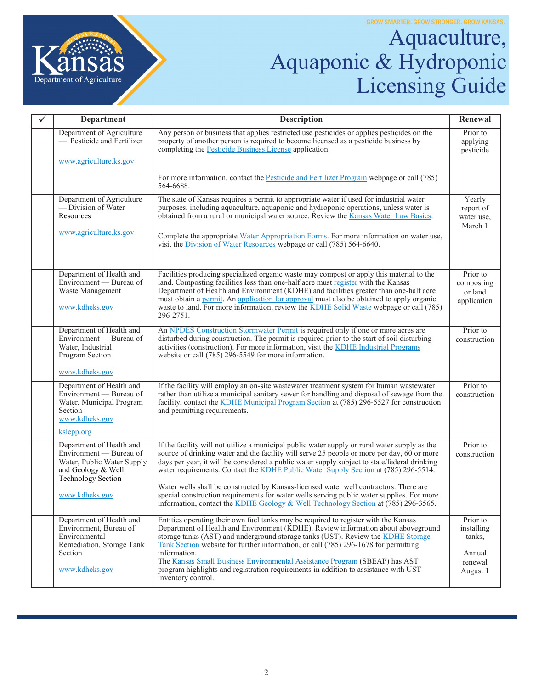

## Aquaculture, Aquaponic & Hydroponic Licensing Guide

| ✓ | <b>Department</b>                                                                                                             | <b>Description</b>                                                                                                                                                                                                                                                                                                                                                                                                                                                          | Renewal                                          |
|---|-------------------------------------------------------------------------------------------------------------------------------|-----------------------------------------------------------------------------------------------------------------------------------------------------------------------------------------------------------------------------------------------------------------------------------------------------------------------------------------------------------------------------------------------------------------------------------------------------------------------------|--------------------------------------------------|
|   | Department of Agriculture<br>- Pesticide and Fertilizer                                                                       | Any person or business that applies restricted use pesticides or applies pesticides on the<br>property of another person is required to become licensed as a pesticide business by<br>completing the Pesticide Business License application.                                                                                                                                                                                                                                | Prior to<br>applying<br>pesticide                |
|   | www.agriculture.ks.gov                                                                                                        |                                                                                                                                                                                                                                                                                                                                                                                                                                                                             |                                                  |
|   |                                                                                                                               | For more information, contact the <b>Pesticide and Fertilizer Program</b> webpage or call (785)<br>564-6688.                                                                                                                                                                                                                                                                                                                                                                |                                                  |
|   | Department of Agriculture<br>- Division of Water<br>Resources                                                                 | The state of Kansas requires a permit to appropriate water if used for industrial water<br>purposes, including aquaculture, aquaponic and hydroponic operations, unless water is<br>obtained from a rural or municipal water source. Review the Kansas Water Law Basics.                                                                                                                                                                                                    | Yearly<br>report of<br>water use,<br>March 1     |
|   | www.agriculture.ks.gov                                                                                                        | Complete the appropriate Water Appropriation Forms. For more information on water use,<br>visit the Division of Water Resources webpage or call (785) 564-6640.                                                                                                                                                                                                                                                                                                             |                                                  |
|   | Department of Health and<br>Environment — Bureau of<br>Waste Management<br>www.kdheks.gov                                     | Facilities producing specialized organic waste may compost or apply this material to the<br>land. Composting facilities less than one-half acre must register with the Kansas<br>Department of Health and Environment (KDHE) and facilities greater than one-half acre<br>must obtain a permit. An application for approval must also be obtained to apply organic<br>waste to land. For more information, review the KDHE Solid Waste webpage or call (785)<br>296-2751.   | Prior to<br>composting<br>or land<br>application |
|   | Department of Health and<br>Environment — Bureau of<br>Water, Industrial<br>Program Section<br>www.kdheks.gov                 | An NPDES Construction Stormwater Permit is required only if one or more acres are<br>disturbed during construction. The permit is required prior to the start of soil disturbing<br>activities (construction). For more information, visit the KDHE Industrial Programs<br>website or call (785) 296-5549 for more information.                                                                                                                                             | Prior to<br>construction                         |
|   | Department of Health and                                                                                                      | If the facility will employ an on-site wastewater treatment system for human wastewater                                                                                                                                                                                                                                                                                                                                                                                     | Prior to                                         |
|   | Environment - Bureau of<br>Water, Municipal Program<br>Section<br>www.kdheks.gov                                              | rather than utilize a municipal sanitary sewer for handling and disposal of sewage from the<br>facility, contact the KDHE Municipal Program Section at (785) 296-5527 for construction<br>and permitting requirements.                                                                                                                                                                                                                                                      | construction                                     |
|   | kslepp.org                                                                                                                    |                                                                                                                                                                                                                                                                                                                                                                                                                                                                             |                                                  |
|   | Department of Health and<br>Environment — Bureau of<br>Water, Public Water Supply<br>and Geology & Well<br>Technology Section | If the facility will not utilize a municipal public water supply or rural water supply as the<br>source of drinking water and the facility will serve 25 people or more per day, 60 or more<br>days per year, it will be considered a public water supply subject to state/federal drinking<br>water requirements. Contact the KDHE Public Water Supply Section at (785) 296-5514.<br>Water wells shall be constructed by Kansas-licensed water well contractors. There are | Prior to<br>construction                         |
|   | www.kdheks.gov                                                                                                                | special construction requirements for water wells serving public water supplies. For more<br>information, contact the KDHE Geology & Well Technology Section at (785) 296-3565.                                                                                                                                                                                                                                                                                             |                                                  |
|   | Department of Health and<br>Environment, Bureau of<br>Environmental<br>Remediation, Storage Tank                              | Entities operating their own fuel tanks may be required to register with the Kansas<br>Department of Health and Environment (KDHE). Review information about aboveground<br>storage tanks (AST) and underground storage tanks (UST). Review the KDHE Storage<br>Tank Section website for further information, or call (785) 296-1678 for permitting                                                                                                                         | Prior to<br>installing<br>tanks,                 |
|   | Section<br>www.kdheks.gov                                                                                                     | information.<br>The Kansas Small Business Environmental Assistance Program (SBEAP) has AST<br>program highlights and registration requirements in addition to assistance with UST<br>inventory control.                                                                                                                                                                                                                                                                     | Annual<br>renewal<br>August 1                    |